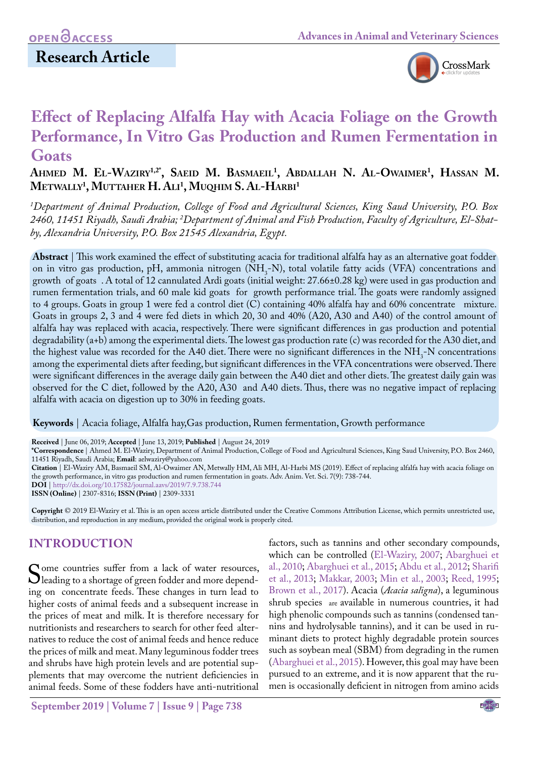# **Research Article**



# **Effect of Replacing Alfalfa Hay with Acacia Foliage on the Growth Performance, In Vitro Gas Production and Rumen Fermentation in Goats**

**Ahmed M. El-Waziry1,2\*, Saeid M. Basmaeil1 , Abdallah N. Al-Owaimer1 , Hassan M. Metwally1 , Muttaher H. Ali1 , Muqhim S. Al-Harbi 1**

*1 Department of Animal Production, College of Food and Agricultural Sciences, King Saud University, P.O. Box 2460, 11451 Riyadh, Saudi Arabia; 2 Department of Animal and Fish Production, Faculty of Agriculture, El-Shatby, Alexandria University, P.O. Box 21545 Alexandria, Egypt.*

**Abstract** | This work examined the effect of substituting acacia for traditional alfalfa hay as an alternative goat fodder on in vitro gas production, pH, ammonia nitrogen ( $NH<sub>3</sub>-N$ ), total volatile fatty acids (VFA) concentrations and growth of goats . A total of 12 cannulated Ardi goats (initial weight: 27.66±0.28 kg) were used in gas production and rumen fermentation trials, and 60 male kid goats for growth performance trial. The goats were randomly assigned to 4 groups. Goats in group 1 were fed a control diet (C) containing 40% alfalfa hay and 60% concentrate mixture. Goats in groups 2, 3 and 4 were fed diets in which 20, 30 and 40% (A20, A30 and A40) of the control amount of alfalfa hay was replaced with acacia, respectively. There were significant differences in gas production and potential degradability (a+b) among the experimental diets. The lowest gas production rate (c) was recorded for the A30 diet, and the highest value was recorded for the A40 diet. There were no significant differences in the  $NH<sub>3</sub>$ -N concentrations among the experimental diets after feeding, but significant differences in the VFA concentrations were observed. There were significant differences in the average daily gain between the A40 diet and other diets. The greatest daily gain was observed for the C diet, followed by the A20, A30 and A40 diets. Thus, there was no negative impact of replacing alfalfa with acacia on digestion up to 30% in feeding goats.

**Keywords** | Acacia foliage, Alfalfa hay,Gas production, Rumen fermentation, Growth performance

**Received** | June 06, 2019; **Accepted** | June 13, 2019; **Published** | August 24, 2019

**\*Correspondence** | Ahmed M. El-Waziry, Department of Animal Production, College of Food and Agricultural Sciences, King Saud University, P.O. Box 2460, 11451 Riyadh, Saudi Arabia; **Email**: aelwaziry@yahoo.com

**Citation** | El-Waziry AM, Basmaeil SM, Al-Owaimer AN, Metwally HM, Ali MH, Al-Harbi MS (2019). Effect of replacing alfalfa hay with acacia foliage on the growth performance, in vitro gas production and rumen fermentation in goats. Adv. Anim. Vet. Sci. 7(9): 738-744.

**DOI** | [http://dx.doi.org/10.17582/journal.aavs/2019](http://dx.doi.org/10.17582/journal.aavs/2019/7.9.738.744)/7.9.738.744

**ISSN (Online)** | 2307-8316; **ISSN (Print)** | 2309-3331

**Copyright** © 2019 El-Waziry et al. This is an open access article distributed under the Creative Commons Attribution License, which permits unrestricted use, distribution, and reproduction in any medium, provided the original work is properly cited.

## **INTRODUCTION**

Some countries suffer from a lack of water resources,<br>
Sleading to a shortage of green fodder and more depend-<br>
ing on concentrate feeds These changes in turn lead to ing on concentrate feeds. These changes in turn lead to higher costs of animal feeds and a subsequent increase in the prices of meat and milk. It is therefore necessary for nutritionists and researchers to search for other feed alternatives to reduce the cost of animal feeds and hence reduce the prices of milk and meat. Many leguminous fodder trees and shrubs have high protein levels and are potential supplements that may overcome the nutrient deficiencies in animal feeds. Some of these fodders have anti-nutritional

which can be controlled [\(El-Waziry, 2007;](#page-6-0) [Abarghuei et](#page-5-0) [al., 2010;](#page-5-0) [Abarghuei et al., 2015](#page-5-1)[; Abdu et al., 2012](#page-5-2); [Sharifi](#page-6-1)  [et al., 2013](#page-6-1); [Makkar, 2003](#page-6-2); [Min et al., 2003](#page-6-3); [Reed, 1995;](#page-6-4) Brown et al., 2017). Acacia (*Acacia saligna*), a leguminous shrub species are available in numerous countries, it had high phenolic compounds such as tannins (condensed tannins and hydrolysable tannins), and it can be used in ruminant diets to protect highly degradable protein sources such as soybean meal (SBM) from degrading in the rumen [\(Abarghuei et al., 2015\)](#page-5-1). However, this goal may have been pursued to an extreme, and it is now apparent that the rumen is occasionally deficient in nitrogen from amino acids

factors, such as tannins and other secondary compounds,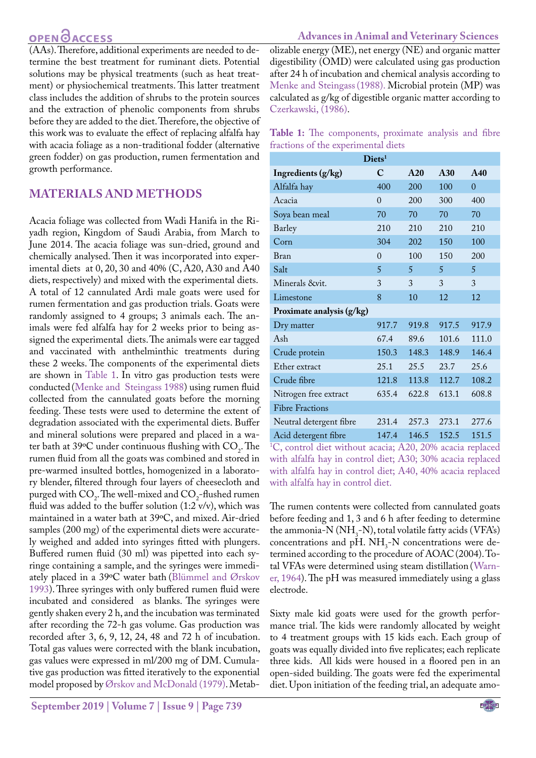(AAs). Therefore, additional experiments are needed to determine the best treatment for ruminant diets. Potential solutions may be physical treatments (such as heat treatment) or physiochemical treatments. This latter treatment class includes the addition of shrubs to the protein sources and the extraction of phenolic components from shrubs before they are added to the diet. Therefore, the objective of this work was to evaluate the effect of replacing alfalfa hay with acacia foliage as a non-traditional fodder (alternative green fodder) on gas production, rumen fermentation and growth performance.

### **MATERIALS AND METHODS**

Acacia foliage was collected from Wadi Hanifa in the Riyadh region, Kingdom of Saudi Arabia, from March to June 2014. The acacia foliage was sun-dried, ground and chemically analysed. Then it was incorporated into experimental diets at 0, 20, 30 and 40% (C, A20, A30 and A40 diets, respectively) and mixed with the experimental diets. A total of 12 cannulated Ardi male goats were used for rumen fermentation and gas production trials. Goats were randomly assigned to 4 groups; 3 animals each. The animals were fed alfalfa hay for 2 weeks prior to being assigned the experimental diets. The animals were ear tagged and vaccinated with anthelminthic treatments during these 2 weeks. The components of the experimental diets are shown in [Table 1](#page-1-0). In vitro gas production tests were conducted [\(Menke and Steingass 1988](#page-6-5)) using rumen fluid collected from the cannulated goats before the morning feeding. These tests were used to determine the extent of degradation associated with the experimental diets. Buffer and mineral solutions were prepared and placed in a water bath at  $39^{\circ}$ C under continuous flushing with  $CO<sub>2</sub>$ . The rumen fluid from all the goats was combined and stored in pre-warmed insulted bottles, homogenized in a laboratory blender, filtered through four layers of cheesecloth and purged with  $CO<sub>2</sub>$ . The well-mixed and  $CO<sub>2</sub>$ -flushed rumen fluid was added to the buffer solution  $(1:2 \text{ v/v})$ , which was maintained in a water bath at 39ºC, and mixed. Air-dried samples (200 mg) of the experimental diets were accurately weighed and added into syringes fitted with plungers. Buffered rumen fluid (30 ml) was pipetted into each syringe containing a sample, and the syringes were immediately placed in a 39ºC water bath (Blümmel and Ørskov 1993). Three syringes with only buffered rumen fluid were incubated and considered as blanks. The syringes were gently shaken every 2 h, and the incubation was terminated after recording the 72-h gas volume. Gas production was recorded after 3, 6, 9, 12, 24, 48 and 72 h of incubation. Total gas values were corrected with the blank incubation, gas values were expressed in ml/200 mg of DM. Cumulative gas production was fitted iteratively to the exponential model proposed by [Ørskov and McDonald \(1979\).](#page-6-6) Metabolizable energy (ME), net energy (NE) and organic matter digestibility (OMD) were calculated using gas production after 24 h of incubation and chemical analysis according to [Menke and Steingass\(1988\).](#page-6-5) Microbial protein (MP) was calculated as g/kg of digestible organic matter according to [Czerkawski, \(1986\).](#page-6-7)

<span id="page-1-0"></span>

|  | Table 1: The components, proximate analysis and fibre |  |  |
|--|-------------------------------------------------------|--|--|
|  | fractions of the experimental diets                   |  |  |

| $\bf Diets1$                       |                                     |                                |       |                     |  |  |  |  |  |  |
|------------------------------------|-------------------------------------|--------------------------------|-------|---------------------|--|--|--|--|--|--|
| Ingredients (g/kg)                 | C                                   | A20                            | A30   | A40                 |  |  |  |  |  |  |
| Alfalfa hay                        | 400                                 | 200                            | 100   | $\overline{0}$      |  |  |  |  |  |  |
| Acacia                             | $\theta$                            | 200                            | 300   | 400                 |  |  |  |  |  |  |
| Soya bean meal                     | 70                                  | 70                             | 70    | 70                  |  |  |  |  |  |  |
| Barley                             | 210                                 | 210                            | 210   | 210                 |  |  |  |  |  |  |
| Corn                               | 304                                 | 202                            | 150   | 100                 |  |  |  |  |  |  |
| Bran                               | $\theta$                            | 100                            | 150   | 200                 |  |  |  |  |  |  |
| Salt                               | 5                                   | 5                              | 5     | 5                   |  |  |  |  |  |  |
| Minerals &vit.                     | 3                                   | 3                              | 3     | 3                   |  |  |  |  |  |  |
| Limestone                          | 8                                   | 10                             | 12    | 12                  |  |  |  |  |  |  |
| Proximate analysis (g/kg)          |                                     |                                |       |                     |  |  |  |  |  |  |
| Dry matter                         | 917.7                               | 919.8                          | 917.5 | 917.9               |  |  |  |  |  |  |
| Ash                                | 67.4                                | 89.6                           | 101.6 | 111.0               |  |  |  |  |  |  |
| Crude protein                      | 150.3                               | 148.3                          | 148.9 | 146.4               |  |  |  |  |  |  |
| Ether extract                      | 25.1                                | 25.5                           | 23.7  | 25.6                |  |  |  |  |  |  |
| Crude fibre                        | 121.8                               | 113.8                          | 112.7 | 108.2               |  |  |  |  |  |  |
| Nitrogen free extract              | 635.4                               | 622.8                          | 613.1 | 608.8               |  |  |  |  |  |  |
| <b>Fibre Fractions</b>             |                                     |                                |       |                     |  |  |  |  |  |  |
| Neutral detergent fibre            | 231.4                               | 257.3                          | 273.1 | 277.6               |  |  |  |  |  |  |
| $\Lambda$ and decomposed $\Lambda$ | 1 $A$ $\overline{7}$ $\overline{4}$ | 1 $\Lambda$ $\subset$ $\Gamma$ | 150E  | $1\Gamma$ $1\Gamma$ |  |  |  |  |  |  |

Acid detergent fibre 147.4 146.5 152.5 151.5 1 C, control diet without acacia; A20, 20% acacia replaced with alfalfa hay in control diet; A30; 30% acacia replaced with alfalfa hay in control diet; A40, 40% acacia replaced with alfalfa hay in control diet.

The rumen contents were collected from cannulated goats before feeding and 1, 3 and 6 h after feeding to determine the ammonia-N  $(NH_3-N)$ , total volatile fatty acids (VFA's) concentrations and pH.  $NH<sub>3</sub>$ -N concentrations were determined according to the procedure of AOAC(2004). Total VFAs were determined using steam distillation ([Warn](#page-6-8)[er, 1964](#page-6-8)). The pH was measured immediately using a glass electrode.

Sixty male kid goats were used for the growth performance trial. The kids were randomly allocated by weight to 4 treatment groups with 15 kids each. Each group of goats was equally divided into five replicates; each replicate three kids. All kids were housed in a floored pen in an open-sided building. The goats were fed the experimental diet. Upon initiation of the feeding trial, an adequate amo-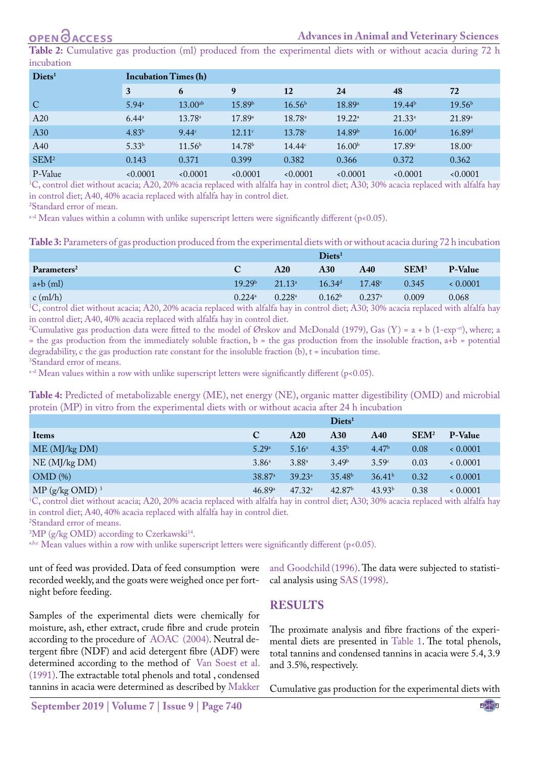### **Advances in Animal and Veterinary Sciences**

<span id="page-2-0"></span>**Table 2:** Cumulative gas production (ml) produced from the experimental diets with or without acacia during 72 h incubation

| $\bf Diets1$     |                   | <b>Incubation Times (h)</b> |                    |                    |                    |                    |                    |  |  |  |
|------------------|-------------------|-----------------------------|--------------------|--------------------|--------------------|--------------------|--------------------|--|--|--|
|                  | 3                 | 6                           | 9                  | 12                 | 24                 | 48                 | 72                 |  |  |  |
| $\mathbf C$      | 5.94 <sup>a</sup> | $13.00^{ab}$                | 15.89 <sup>b</sup> | 16.56 <sup>b</sup> | 18.89a             | 19.44 <sup>b</sup> | 19.56 <sup>b</sup> |  |  |  |
| A20              | $6.44^{\circ}$    | $13.78^{\circ}$             | 17.89a             | $18.78^{\circ}$    | $19.22^{\rm a}$    | $21.33^{\circ}$    | 21.89a             |  |  |  |
| A30              | 4.83 <sup>b</sup> | 9.44c                       | $12.11^{\circ}$    | 13.78c             | 14.89 <sup>b</sup> | 16.00 <sup>d</sup> | 16.89 <sup>d</sup> |  |  |  |
| A40              | $5.33^{b}$        | 11.56 <sup>b</sup>          | 14.78 <sup>b</sup> | $14.44^c$          | 16.00 <sup>b</sup> | 17.89c             | 18.00 <sup>c</sup> |  |  |  |
| SEM <sup>2</sup> | 0.143             | 0.371                       | 0.399              | 0.382              | 0.366              | 0.372              | 0.362              |  |  |  |
| P-Value          | 0.0001            | 0.0001                      | 0.0001             | 0.0001             | 0.0001             | 0.0001             | 0.0001             |  |  |  |

P-Value <0.0001 <0.0001 <0.0001 <0.0001 <0.0001 <0.0001 <0.0001 1 C, control diet without acacia; A20, 20% acacia replaced with alfalfa hay in control diet; A30; 30% acacia replaced with alfalfa hay in control diet; A40, 40% acacia replaced with alfalfa hay in control diet.

2 Standard error of mean.

a<sup>-d</sup> Mean values within a column with unlike superscript letters were significantly different (p<0.05).

<span id="page-2-1"></span>**Table 3:** Parameters of gas production produced from the experimental diets with or without acacia during 72 h incubation

|                         | $\bf{D}$ iets <sup>1</sup> |                      |                    |                      |                  |                |  |  |
|-------------------------|----------------------------|----------------------|--------------------|----------------------|------------------|----------------|--|--|
| Parameters <sup>2</sup> | C                          | A20                  | <b>A30</b>         | A40                  | SEM <sup>3</sup> | <b>P-Value</b> |  |  |
| $a+b$ (ml)              | 19.29 <sup>b</sup>         | $21.13^{\circ}$      | 16.34 <sup>d</sup> | $17.48^{\circ}$      | 0.345            | 0.0001         |  |  |
| $c$ (ml/h)              | $0.224$ <sup>a</sup>       | $0.228$ <sup>a</sup> | 0.162 <sup>b</sup> | $0.237$ <sup>a</sup> | 0.009            | 0.068          |  |  |

<sup>1</sup>C, control diet without acacia; A20, 20% acacia replaced with alfalfa hay in control diet; A30; 30% acacia replaced with alfalfa hay in control diet; A40, 40% acacia replaced with alfalfa hay in control diet.

<sup>2</sup>Cumulative gas production data were fitted to the model of Ørskov and McDonald (1979), Gas (Y) = a + b (1-exp<sup>-ct</sup>), where; a  $=$  the gas production from the immediately soluble fraction, b  $=$  the gas production from the insoluble fraction,  $a+b =$  potential degradability, c the gas production rate constant for the insoluble fraction  $(b)$ ,  $t =$  incubation time. 3 Standard error of means.

 $a-d$  Mean values within a row with unlike superscript letters were significantly different (p<0.05).

<span id="page-2-2"></span>**Table 4:** Predicted of metabolizable energy (ME), net energy (NE), organic matter digestibility (OMD) and microbial protein (MP) in vitro from the experimental diets with or without acacia after 24 h incubation

|                     |                    |                   | $\bf Diets1$       |                    |                  |         |
|---------------------|--------------------|-------------------|--------------------|--------------------|------------------|---------|
| Items               | $\mathbf C$        | A20               | A30                | A40                | SEM <sup>2</sup> | P-Value |
| ME (MJ/kg DM)       | 5.29a              | 5.16 <sup>a</sup> | 4.35 <sup>b</sup>  | 4.47 <sup>b</sup>  | 0.08             | 0.0001  |
| NE (MJ/kg DM)       | 3.86 <sup>a</sup>  | $3.88^{a}$        | 3.49 <sup>b</sup>  | 3.59c              | 0.03             | 0.0001  |
| $OMD(\%)$           | 38.87 <sup>a</sup> | $39.23^{\circ}$   | 35.48 <sup>b</sup> | 36.41 <sup>b</sup> | 0.32             | 0.0001  |
| $MP (g/kg OMD)^{3}$ | 46.89a             | $47.32^{\circ}$   | 42.87 <sup>b</sup> | 43.93 <sup>b</sup> | 0.38             | 0.0001  |

MP (g/kg OMD)<sup>3</sup>  $30\%$   $47.32^4$   $42.87^6$   $43.93^6$   $43.93^6$   $43.93^8$   $43.93^8$   $43.93^8$   $43.93^8$   $43.93^8$   $43.93^8$   $43.93^8$   $43.93^8$   $43.93^8$   $43.93^8$   $43.93^8$   $43.93^8$   $43.93^8$   $43.93^8$   $43.93^8$   $43.93^$ in control diet; A40, 40% acacia replaced with alfalfa hay in control diet.

2 Standard error of means.

 $\rm{^{3}MP}$  (g/kg OMD) according to Czerkawski $\rm{^{14}}$ .

a,b,c Mean values within a row with unlike superscript letters were significantly different ( $p$ <0.05).

unt of feed was provided. Data of feed consumption were recorded weekly, and the goats were weighed once per fortnight before feeding.

[and Goodchild](#page-6-11) (1996). The data were subjected to statistical analysis using SAS (1998).

### **RESULTS**

Samples of the experimental diets were chemically for moisture, ash, ether extract, crude fibre and crude protein according to the procedure of [AOAC](#page-6-9) (2004). Neutral detergent fibre (NDF) and acid detergent fibre (ADF) were determined according to the method of [Van Soest et al.](#page-6-10) [\(1991\).](#page-6-10) The extractable total phenols and total , condensed tannins in acacia were determined as described by [Makker](#page-6-11) and 3.5%, respectively.

**September 2019 | Volume 7 | Issue 9 | Page 740**

The proximate analysis and fibre fractions of the experimental diets are presented in [Table 1.](#page-1-0) The total phenols, total tannins and condensed tannins in acacia were 5.4, 3.9

Cumulative gas production for the experimental diets with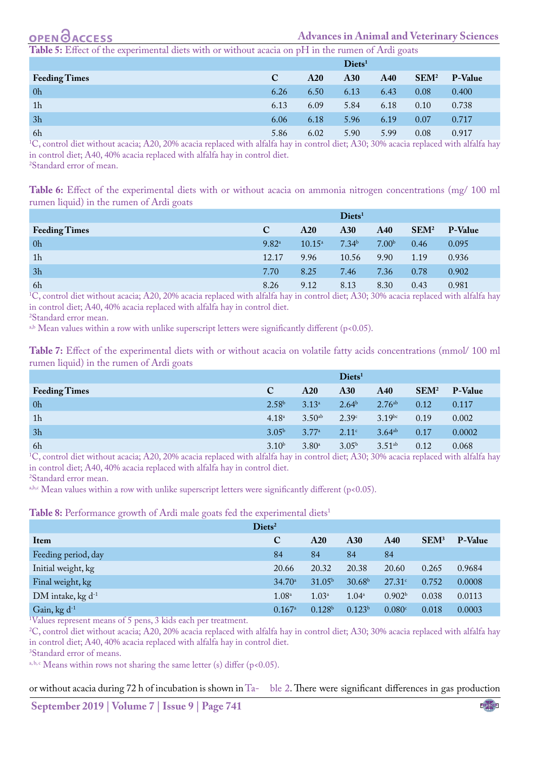

**Advances in Animal and Veterinary Sciences**

<span id="page-3-0"></span>**The 5:** Effect of the experimental diets with or without acacia on pH in the rumen of Ardi goats

|                      |      |      | $\bf Diets1$ |            |                  |                |
|----------------------|------|------|--------------|------------|------------------|----------------|
| <b>Feeding Times</b> | C    | A20  | A30          | <b>A40</b> | SEM <sup>2</sup> | <b>P-Value</b> |
| 0h                   | 6.26 | 6.50 | 6.13         | 6.43       | 0.08             | 0.400          |
| 1 <sub>h</sub>       | 6.13 | 6.09 | 5.84         | 6.18       | 0.10             | 0.738          |
| 3h                   | 6.06 | 6.18 | 5.96         | 6.19       | 0.07             | 0.717          |
| 6h                   | 5.86 | 6.02 | 5.90         | 5.99       | 0.08             | 0.917          |

6h 5.86 6.02 5.90 5.99 0.08 0.917 1 C, control diet without acacia; A20, 20% acacia replaced with alfalfa hay in control diet; A30; 30% acacia replaced with alfalfa hay in control diet; A40, 40% acacia replaced with alfalfa hay in control diet. 2 Standard error of mean.

<span id="page-3-1"></span>**Table 6:** Effect of the experimental diets with or without acacia on ammonia nitrogen concentrations (mg/ 100 ml rumen liquid) in the rumen of Ardi goats

|                      |             |                 | $\bf Diets1$      |                   |                  |                |
|----------------------|-------------|-----------------|-------------------|-------------------|------------------|----------------|
| <b>Feeding Times</b> | $\mathbf C$ | A20             | A30               | A40               | SEM <sup>2</sup> | <b>P-Value</b> |
| 0 <sub>h</sub>       | $9.82^{a}$  | $10.15^{\circ}$ | 7.34 <sup>b</sup> | 7.00 <sup>b</sup> | 0.46             | 0.095          |
| 1 <sub>h</sub>       | 12.17       | 9.96            | 10.56             | 9.90              | 1.19             | 0.936          |
| 3h                   | 7.70        | 8.25            | 7.46              | 7.36              | 0.78             | 0.902          |
| 6h                   | 8.26        | 9.12            | 8.13              | 8.30              | 0.43             | 0.981          |

6h 8.26 9.12 8.13 8.30 0.43 0.981 1 C, control diet without acacia; A20, 20% acacia replaced with alfalfa hay in control diet; A30; 30% acacia replaced with alfalfa hay in control diet; A40, 40% acacia replaced with alfalfa hay in control diet.

2 Standard error mean.

a,b Mean values within a row with unlike superscript letters were significantly different ( $p$ <0.05).

<span id="page-3-2"></span>**Table 7:** Effect of the experimental diets with or without acacia on volatile fatty acids concentrations (mmol/ 100 ml rumen liquid) in the rumen of Ardi goats

|                      |                   |                | $\bf Diets1$      |                    |                  |                |
|----------------------|-------------------|----------------|-------------------|--------------------|------------------|----------------|
| <b>Feeding Times</b> | $\mathbf C$       | A20            | <b>A30</b>        | A40                | SEM <sup>2</sup> | <b>P-Value</b> |
| 0 <sub>h</sub>       | 2.58 <sup>b</sup> | $3.13^{a}$     | 2.64 <sup>b</sup> | $2.76^{ab}$        | 0.12             | 0.117          |
| 1 <sub>h</sub>       | 4.18 <sup>a</sup> | $3.50^{ab}$    | 2.39c             | $3.19$ bc          | 0.19             | 0.002          |
| 3h                   | 3.05 <sup>b</sup> | $3.77^{\circ}$ | 2.11c             | 3.64 <sup>ab</sup> | 0.17             | 0.0002         |
| 6h                   | 3.10 <sup>b</sup> | $3.80^{\circ}$ | 3.05 <sup>b</sup> | $3.51^{ab}$        | 0.12             | 0.068          |

6h  $3.10^{\circ}$   $3.80^{\circ}$   $3.05^{\circ}$   $3.51^{\circ}$   $0.12$   $0.068$ <br><sup>1</sup>C, control diet without acacia; A20, 20% acacia replaced with alfalfa hay in control diet; A30; 30% acacia replaced with alfalfa hay in control diet; A40, 40% acacia replaced with alfalfa hay in control diet.

2 Standard error mean.

a,b,c Mean values within a row with unlike superscript letters were significantly different ( $p$ <0.05).

<span id="page-3-3"></span>Table 8: Performance growth of Ardi male goats fed the experimental diets<sup>1</sup>

| $\bf Diets^2$                 |                      |                    |                    |                    |                  |                |  |
|-------------------------------|----------------------|--------------------|--------------------|--------------------|------------------|----------------|--|
| Item                          | $\mathbf C$          | A20                | A30                | A40                | SEM <sup>3</sup> | <b>P-Value</b> |  |
| Feeding period, day           | 84                   | 84                 | 84                 | 84                 |                  |                |  |
| Initial weight, kg            | 20.66                | 20.32              | 20.38              | 20.60              | 0.265            | 0.9684         |  |
| Final weight, kg              | 34.70 <sup>a</sup>   | 31.05 <sup>b</sup> | 30.68 <sup>b</sup> | $27.31^{\circ}$    | 0.752            | 0.0008         |  |
| DM intake, kg d <sup>-1</sup> | 1.08 <sup>a</sup>    | 1.03 <sup>a</sup>  | $1.04^{\circ}$     | 0.902 <sup>b</sup> | 0.038            | 0.0113         |  |
| Gain, kg $d^{-1}$             | $0.167$ <sup>a</sup> | 0.128 <sup>b</sup> | 0.123 <sup>b</sup> | 0.080 <sup>c</sup> | 0.018            | 0.0003         |  |

1 Values represent means of 5 pens, 3 kids each per treatment.

<sup>2</sup>C, control diet without acacia; A20, 20% acacia replaced with alfalfa hay in control diet; A30; 30% acacia replaced with alfalfa hay in control diet; A40, 40% acacia replaced with alfalfa hay in control diet.

3 Standard error of means.

<sup>a, b, c</sup> Means within rows not sharing the same letter (s) differ (p<0.05).

or without acacia during 72 h of incubation is shown in [Ta-](#page-2-0) [ble 2.](#page-2-0) There were significant differences in gas production

**September 2019 | Volume 7 | Issue 9 | Page 741**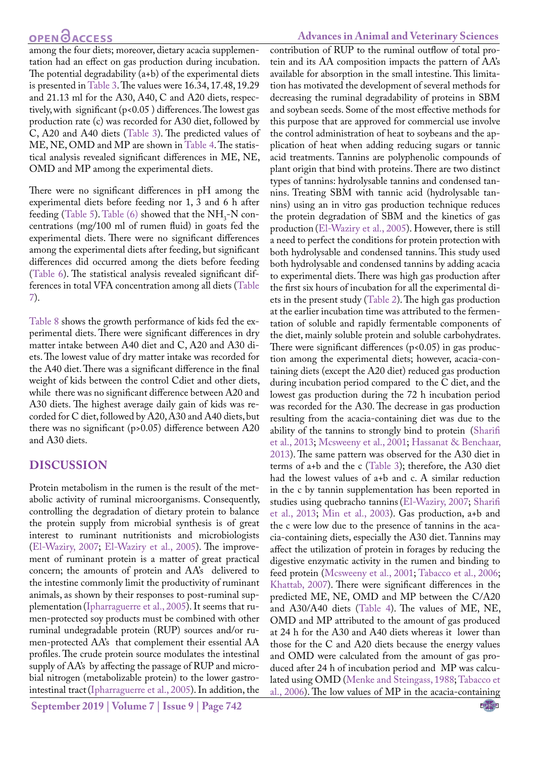among the four diets; moreover, dietary acacia supplementation had an effect on gas production during incubation. The potential degradability (a+b) of the experimental diets is presented i[n Table 3.](#page-2-1) The values were 16.34, 17.48, 19.29 and 21.13 ml for the A30, A40, C and A20 diets, respectively, with significant (p<0.05 ) differences. The lowest gas production rate (c) was recorded for A30 diet, followed by C, A20 and A40 diets ([Table 3\)](#page-2-1). The predicted values of ME, NE, OMD and MP are shown in [Table 4.](#page-2-2) The statistical analysis revealed significant differences in ME, NE, OMD and MP among the experimental diets.

There were no significant differences in pH among the experimental diets before feeding nor 1, 3 and 6 h after feeding ([Table 5](#page-3-0)). [Table \(6\)](#page-3-1) showed that the  $NH<sub>3</sub>$ -N concentrations (mg/100 ml of rumen fluid) in goats fed the experimental diets. There were no significant differences among the experimental diets after feeding, but significant differences did occurred among the diets before feeding [\(Table 6](#page-3-1)). The statistical analysis revealed significant differences in total VFA concentration among all diets ([Table](#page-3-2) [7](#page-3-2)).

[Table 8](#page-3-3) shows the growth performance of kids fed the experimental diets. There were significant differences in dry matter intake between A40 diet and C, A20 and A30 diets. The lowest value of dry matter intake was recorded for the A40 diet. There was a significant difference in the final weight of kids between the control Cdiet and other diets, while there was no significant difference between A20 and A30 diets. The highest average daily gain of kids was recorded for C diet, followed by A20, A30 and A40 diets, but there was no significant (p>0.05) difference between A20 and A30 diets.

### **DISCUSSION**

Protein metabolism in the rumen is the result of the metabolic activity of ruminal microorganisms. Consequently, controlling the degradation of dietary protein to balance the protein supply from microbial synthesis is of great interest to ruminant nutritionists and microbiologists [\(El-Waziry, 2007;](#page-6-0) [El-Waziry et al., 2005](#page-6-12)). The improvement of ruminant protein is a matter of great practical concern; the amounts of protein and AA's delivered to the intestine commonly limit the productivity of ruminant animals, as shown by their responses to post-ruminal supplementation [\(Ipharraguerre et al., 2005\)](#page-6-13). It seems that rumen-protected soy products must be combined with other ruminal undegradable protein (RUP) sources and/or rumen-protected AA's that complement their essential AA profiles. The crude protein source modulates the intestinal supply of AA's by affecting the passage of RUP and microbial nitrogen (metabolizable protein) to the lower gastrointestinal tract[\(Ipharraguerre et al., 2005\)](#page-6-13). In addition, the

**September 2019 | Volume 7 | Issue 9 | Page 742**

There were significant differences  $(p<0.05)$  in gas production among the experimental diets; however, acacia-containing diets (except the A20 diet) reduced gas production during incubation period compared to the C diet, and the lowest gas production during the 72 h incubation period was recorded for the A30. The decrease in gas production resulting from the acacia-containing diet was due to the ability of the tannins to strongly bind to protein [\(Sharifi](#page-6-1)  [et al., 2013;](#page-6-1) [Mcsweeny et al., 2001;](#page-6-14) [Hassanat & Benchaar,](#page-6-15)  [2013](#page-6-15)). The same pattern was observed for the A30 diet in terms of a+b and the c ([Table 3](#page-2-1)); therefore, the A30 diet had the lowest values of a+b and c. A similar reduction in the c by tannin supplementation has been reported in studies using quebracho tannins([El-Waziry, 2007](#page-6-0); [Sharifi](#page-6-1)  [et al., 2013](#page-6-1); [Min et al., 2003\)](#page-6-3). Gas production, a+b and the c were low due to the presence of tannins in the acacia-containing diets, especially the A30 diet. Tannins may affect the utilization of protein in forages by reducing the digestive enzymatic activity in the rumen and binding to feed protein ([Mcsweeny et al., 2001;](#page-6-14) [Tabacco et al., 2006](#page-6-16); [Khattab, 2007\)](#page-6-17). There were significant differences in the predicted ME, NE, OMD and MP between the C/A20 and A30/A40 diets ([Table 4\)](#page-2-2). The values of ME, NE, OMD and MP attributed to the amount of gas produced at 24 h for the A30 and A40 diets whereas it lower than those for the C and A20 diets because the energy values and OMD were calculated from the amount of gas produced after 24 h of incubation period and MP was calculated using OMD ([Menke and Steingass, 1988;](#page-6-5) [Tabacco et](#page-6-16)  [al., 2006\)](#page-6-16). The low values of MP in the acacia-containing

NE**X**US

contribution of RUP to the ruminal outflow of total protein and its AA composition impacts the pattern of AA's available for absorption in the small intestine. This limitation has motivated the development of several methods for decreasing the ruminal degradability of proteins in SBM and soybean seeds. Some of the most effective methods for this purpose that are approved for commercial use involve the control administration of heat to soybeans and the application of heat when adding reducing sugars or tannic acid treatments. Tannins are polyphenolic compounds of plant origin that bind with proteins. There are two distinct types of tannins: hydrolysable tannins and condensed tannins. Treating SBM with tannic acid (hydrolysable tannins) using an in vitro gas production technique reduces the protein degradation of SBM and the kinetics of gas production ([El-Waziry et al., 2005](#page-6-12)). However, there is still a need to perfect the conditions for protein protection with both hydrolysable and condensed tannins. This study used both hydrolysable and condensed tannins by adding acacia to experimental diets. There was high gas production after the first six hours of incubation for all the experimental diets in the present study ([Table 2\)](#page-2-0). The high gas production at the earlier incubation time was attributed to the fermentation of soluble and rapidly fermentable components of the diet, mainly soluble protein and soluble carbohydrates.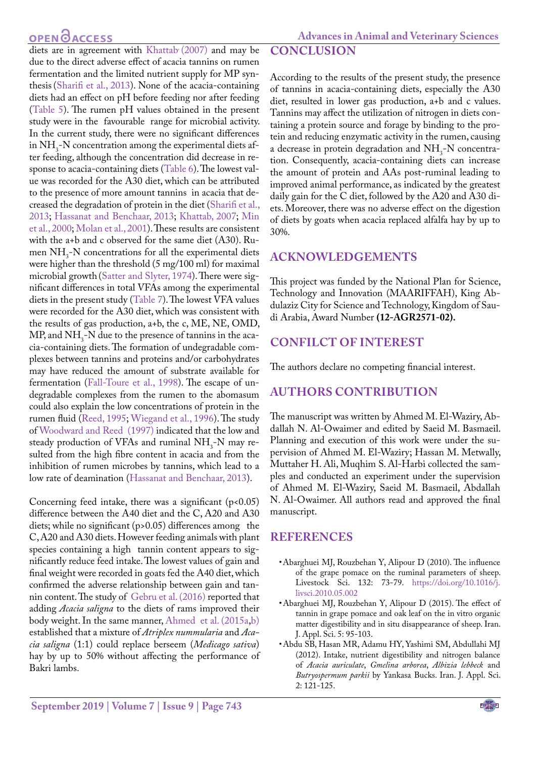**Advances in Animal and Veterinary Sciences**

### diets are in agreement with Khattab (2007) and may be due to the direct adverse effect of acacia tannins on rumen fermentation and the limited nutrient supply for MP synthesis([Sharifi et al., 2013\)](#page-6-1). None of the acacia-containing diets had an effect on pH before feeding nor after feeding [\(Table 5](#page-3-0)). The rumen pH values obtained in the present study were in the favourable range for microbial activity. In the current study, there were no significant differences in  $NH<sub>3</sub>$ -N concentration among the experimental diets after feeding, although the concentration did decrease in response to acacia-containing diets [\(Table 6\)](#page-3-1). The lowest value was recorded for the A30 diet, which can be attributed to the presence of more amount tannins in acacia that decreased the degradation of protein in the diet [\(Sharifi et al.,](#page-6-1) [2013;](#page-6-1) [Hassanat and Benchaar, 2013](#page-6-15); [Khattab, 2007](#page-6-17); [Min](#page-6-18) [et al., 2000;](#page-6-18) [Molan et al., 2001](#page-6-19)). These results are consistent with the a+b and c observed for the same diet (A30). Rumen  $NH_3$ -N concentrations for all the experimental diets were higher than the threshold (5 mg/100 ml) for maximal microbial growth [\(Satter and Slyter, 1974](#page-6-20)). There were significant differences in total VFAs among the experimental diets in the present study ([Table 7](#page-3-2)). The lowest VFA values were recorded for the A30 diet, which was consistent with the results of gas production, a+b, the c, ME, NE, OMD, MP, and  $NH_3$ -N due to the presence of tannins in the acacia-containing diets. The formation of undegradable complexes between tannins and proteins and/or carbohydrates may have reduced the amount of substrate available for fermentation [\(Fall-Toure et al., 1998\)](#page-6-21). The escape of undegradable complexes from the rumen to the abomasum could also explain the low concentrations of protein in the rumen fluid ([Reed, 1995](#page-6-4); [Wiegand et al., 1996](#page-6-22)). The study of [Woodward and Reed \(1997\) i](#page-6-23)ndicated that the low and steady production of VFAs and ruminal  $NH<sub>3</sub>$ -N may resulted from the high fibre content in acacia and from the inhibition of rumen microbes by tannins, which lead to a low rate of deamination ([Hassanat and Benchaar, 2013](#page-6-15)).

Concerning feed intake, there was a significant  $(p<0.05)$ difference between the A40 diet and the C, A20 and A30 diets; while no significant (p>0.05) differences among the C, A20 and A30 diets. However feeding animals with plant species containing a high tannin content appears to significantly reduce feed intake. The lowest values of gain and final weight were recorded in goats fed the A40 diet, which confirmed the adverse relationship between gain and tannin content. The study of [Gebru et al. \(2016\)](#page-6-24) reported that adding *Acacia saligna* to the diets of rams improved their body weight. In the same manner, [Ahmed et al. \(2015a](#page-6-25),[b\)](#page-6-26) established that a mixture of *Atriplex nummularia* and *Acacia saligna* (1:1) could replace berseem (*Medicago sativa*) hay by up to 50% without affecting the performance of Bakri lambs.

### **CONCLUSION**

According to the results of the present study, the presence of tannins in acacia-containing diets, especially the A30 diet, resulted in lower gas production, a+b and c values. Tannins may affect the utilization of nitrogen in diets containing a protein source and forage by binding to the protein and reducing enzymatic activity in the rumen, causing a decrease in protein degradation and  $NH<sub>3</sub>$ -N concentration. Consequently, acacia-containing diets can increase the amount of protein and AAs post-ruminal leading to improved animal performance, as indicated by the greatest daily gain for the C diet, followed by the A20 and A30 diets. Moreover, there was no adverse effect on the digestion of diets by goats when acacia replaced alfalfa hay by up to 30%.

### **ACKNOWLEDGEMENTS**

This project was funded by the National Plan for Science, Technology and Innovation (MAARIFFAH), King Abdulaziz City for Science and Technology, Kingdom of Saudi Arabia, Award Number **(12-AGR2571-02).**

## **CONFILCT OF INTEREST**

The authors declare no competing financial interest.

## **AUTHORS CONTRIBUTION**

The manuscript was written by Ahmed M. El-Waziry, Abdallah N. Al-Owaimer and edited by Saeid M. Basmaeil. Planning and execution of this work were under the supervision of Ahmed M. El-Waziry; Hassan M. Metwally, Muttaher H. Ali, Muqhim S. Al-Harbi collected the samples and conducted an experiment under the supervision of Ahmed M. El-Waziry, Saeid M. Basmaeil, Abdallah N. Al-Owaimer. All authors read and approved the final manuscript.

### **REFERENCES**

- <span id="page-5-0"></span>• Abarghuei MJ, Rouzbehan Y, Alipour D (2010). The influence of the grape pomace on the ruminal parameters of sheep. Livestock Sci. 132: 73-79. [https://doi.org/10.1016/j.](https://doi.org/10.1016/j.livsci.2010.05.002 ) [livsci.2010.05.002](https://doi.org/10.1016/j.livsci.2010.05.002 )
- <span id="page-5-1"></span>• Abarghuei MJ, Rouzbehan Y, Alipour D (2015). The effect of tannin in grape pomace and oak leaf on the in vitro organic matter digestibility and in situ disappearance of sheep. Iran. J. Appl. Sci. 5: 95-103.
- <span id="page-5-2"></span>• Abdu SB, Hasan MR, Adamu HY, Yashimi SM, Abdullahi MJ (2012). Intake, nutrient digestibility and nitrogen balance of *Acacia auriculate*, *Gmelina arborea*, *Albizia lebbeck* and *Butryospermum parkii* by Yankasa Bucks. Iran. J. Appl. Sci. 2: 121-125.